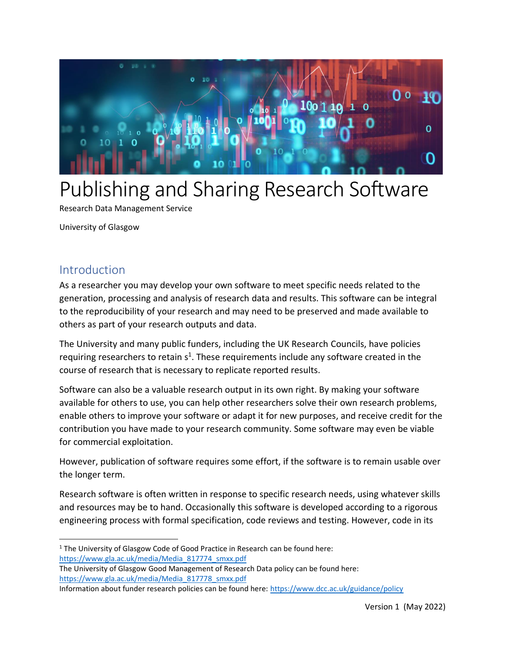

# Publishing and Sharing Research Software

Research Data Management Service

University of Glasgow

# Introduction

As a researcher you may develop your own software to meet specific needs related to the generation, processing and analysis of research data and results. This software can be integral to the reproducibility of your research and may need to be preserved and made available to others as part of your research outputs and data.

The University and many public funders, including the UK Research Councils, have policies requiring researchers to retain  $s^1$ . These requirements include any software created in the course of research that is necessary to replicate reported results.

Software can also be a valuable research output in its own right. By making your software available for others to use, you can help other researchers solve their own research problems, enable others to improve your software or adapt it for new purposes, and receive credit for the contribution you have made to your research community. Some software may even be viable for commercial exploitation.

However, publication of software requires some effort, if the software is to remain usable over the longer term.

Research software is often written in response to specific research needs, using whatever skills and resources may be to hand. Occasionally this software is developed according to a rigorous engineering process with formal specification, code reviews and testing. However, code in its

<sup>&</sup>lt;sup>1</sup> The University of Glasgow Code of Good Practice in Research can be found here: [https://www.gla.ac.uk/media/Media\\_817774\\_smxx.pdf](https://www.gla.ac.uk/media/Media_817774_smxx.pdf)

The University of Glasgow Good Management of Research Data policy can be found here: [https://www.gla.ac.uk/media/Media\\_817778\\_smxx.pdf](https://www.gla.ac.uk/media/Media_817778_smxx.pdf)

Information about funder research policies can be found here[: https://www.dcc.ac.uk/guidance/policy](https://www.dcc.ac.uk/guidance/policy)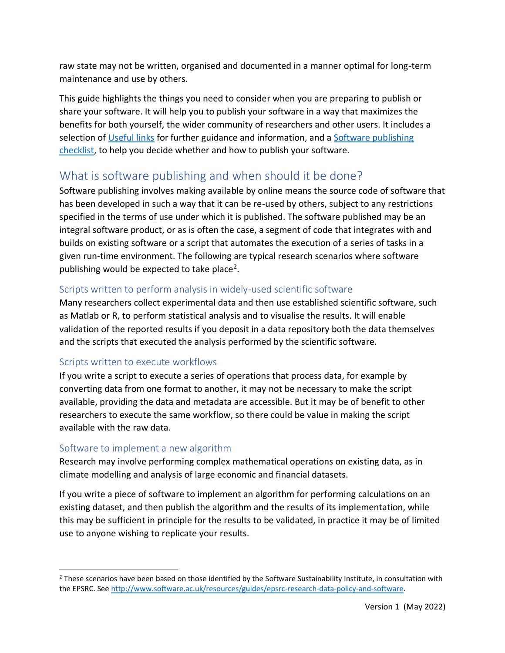raw state may not be written, organised and documented in a manner optimal for long-term maintenance and use by others.

This guide highlights the things you need to consider when you are preparing to publish or share your software. It will help you to publish your software in a way that maximizes the benefits for both yourself, the wider community of researchers and other users. It includes a selection of [Useful links](#page-7-0) for further guidance and information, and a [Software publishing](#page-8-0)  [checklist,](#page-8-0) to help you decide whether and how to publish your software.

# What is software publishing and when should it be done?

Software publishing involves making available by online means the source code of software that has been developed in such a way that it can be re-used by others, subject to any restrictions specified in the terms of use under which it is published. The software published may be an integral software product, or as is often the case, a segment of code that integrates with and builds on existing software or a script that automates the execution of a series of tasks in a given run-time environment. The following are typical research scenarios where software publishing would be expected to take place<sup>2</sup>.

# Scripts written to perform analysis in widely-used scientific software

Many researchers collect experimental data and then use established scientific software, such as Matlab or R, to perform statistical analysis and to visualise the results. It will enable validation of the reported results if you deposit in a data repository both the data themselves and the scripts that executed the analysis performed by the scientific software.

# Scripts written to execute workflows

If you write a script to execute a series of operations that process data, for example by converting data from one format to another, it may not be necessary to make the script available, providing the data and metadata are accessible. But it may be of benefit to other researchers to execute the same workflow, so there could be value in making the script available with the raw data.

# Software to implement a new algorithm

Research may involve performing complex mathematical operations on existing data, as in climate modelling and analysis of large economic and financial datasets.

If you write a piece of software to implement an algorithm for performing calculations on an existing dataset, and then publish the algorithm and the results of its implementation, while this may be sufficient in principle for the results to be validated, in practice it may be of limited use to anyone wishing to replicate your results.

<sup>&</sup>lt;sup>2</sup> These scenarios have been based on those identified by the Software Sustainability Institute, in consultation with the EPSRC. See [http://www.software.ac.uk/resources/guides/epsrc-research-data-policy-and-software.](http://www.software.ac.uk/resources/guides/epsrc-research-data-policy-and-software)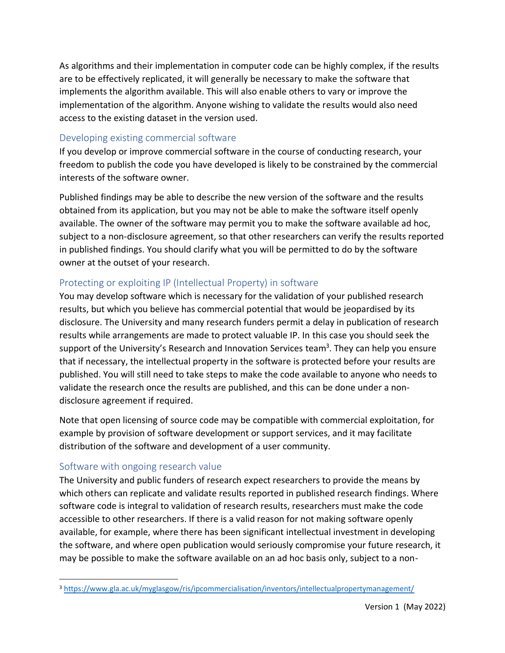As algorithms and their implementation in computer code can be highly complex, if the results are to be effectively replicated, it will generally be necessary to make the software that implements the algorithm available. This will also enable others to vary or improve the implementation of the algorithm. Anyone wishing to validate the results would also need access to the existing dataset in the version used.

### Developing existing commercial software

If you develop or improve commercial software in the course of conducting research, your freedom to publish the code you have developed is likely to be constrained by the commercial interests of the software owner.

Published findings may be able to describe the new version of the software and the results obtained from its application, but you may not be able to make the software itself openly available. The owner of the software may permit you to make the software available ad hoc, subject to a non-disclosure agreement, so that other researchers can verify the results reported in published findings. You should clarify what you will be permitted to do by the software owner at the outset of your research.

# Protecting or exploiting IP (Intellectual Property) in software

You may develop software which is necessary for the validation of your published research results, but which you believe has commercial potential that would be jeopardised by its disclosure. The University and many research funders permit a delay in publication of research results while arrangements are made to protect valuable IP. In this case you should seek the support of the University's Research and Innovation Services team<sup>3</sup>. They can help you ensure that if necessary, the intellectual property in the software is protected before your results are published. You will still need to take steps to make the code available to anyone who needs to validate the research once the results are published, and this can be done under a nondisclosure agreement if required.

Note that open licensing of source code may be compatible with commercial exploitation, for example by provision of software development or support services, and it may facilitate distribution of the software and development of a user community.

# Software with ongoing research value

The University and public funders of research expect researchers to provide the means by which others can replicate and validate results reported in published research findings. Where software code is integral to validation of research results, researchers must make the code accessible to other researchers. If there is a valid reason for not making software openly available, for example, where there has been significant intellectual investment in developing the software, and where open publication would seriously compromise your future research, it may be possible to make the software available on an ad hoc basis only, subject to a non-

<sup>3</sup> <https://www.gla.ac.uk/myglasgow/ris/ipcommercialisation/inventors/intellectualpropertymanagement/>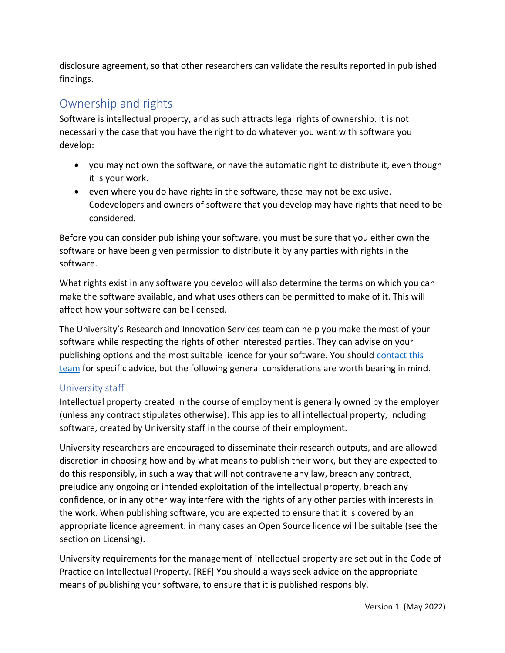disclosure agreement, so that other researchers can validate the results reported in published findings.

# Ownership and rights

Software is intellectual property, and as such attracts legal rights of ownership. It is not necessarily the case that you have the right to do whatever you want with software you develop:

- you may not own the software, or have the automatic right to distribute it, even though it is your work.
- even where you do have rights in the software, these may not be exclusive. Codevelopers and owners of software that you develop may have rights that need to be considered.

Before you can consider publishing your software, you must be sure that you either own the software or have been given permission to distribute it by any parties with rights in the software.

What rights exist in any software you develop will also determine the terms on which you can make the software available, and what uses others can be permitted to make of it. This will affect how your software can be licensed.

The University's Research and Innovation Services team can help you make the most of your software while respecting the rights of other interested parties. They can advise on your publishing options and the most suitable licence for your software. You should [contact this](https://www.gla.ac.uk/media/Media_224028_smxx.doc)  [team](https://www.gla.ac.uk/media/Media_224028_smxx.doc) for specific advice, but the following general considerations are worth bearing in mind.

# University staff

Intellectual property created in the course of employment is generally owned by the employer (unless any contract stipulates otherwise). This applies to all intellectual property, including software, created by University staff in the course of their employment.

University researchers are encouraged to disseminate their research outputs, and are allowed discretion in choosing how and by what means to publish their work, but they are expected to do this responsibly, in such a way that will not contravene any law, breach any contract, prejudice any ongoing or intended exploitation of the intellectual property, breach any confidence, or in any other way interfere with the rights of any other parties with interests in the work. When publishing software, you are expected to ensure that it is covered by an appropriate licence agreement: in many cases an Open Source licence will be suitable (see the section on Licensing).

University requirements for the management of intellectual property are set out in the Code of Practice on Intellectual Property. [REF] You should always seek advice on the appropriate means of publishing your software, to ensure that it is published responsibly.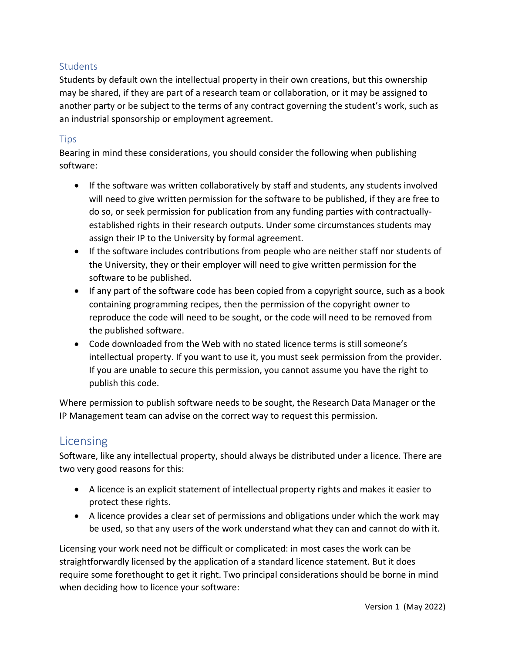# **Students**

Students by default own the intellectual property in their own creations, but this ownership may be shared, if they are part of a research team or collaboration, or it may be assigned to another party or be subject to the terms of any contract governing the student's work, such as an industrial sponsorship or employment agreement.

## Tips

Bearing in mind these considerations, you should consider the following when publishing software:

- If the software was written collaboratively by staff and students, any students involved will need to give written permission for the software to be published, if they are free to do so, or seek permission for publication from any funding parties with contractuallyestablished rights in their research outputs. Under some circumstances students may assign their IP to the University by formal agreement.
- If the software includes contributions from people who are neither staff nor students of the University, they or their employer will need to give written permission for the software to be published.
- If any part of the software code has been copied from a copyright source, such as a book containing programming recipes, then the permission of the copyright owner to reproduce the code will need to be sought, or the code will need to be removed from the published software.
- Code downloaded from the Web with no stated licence terms is still someone's intellectual property. If you want to use it, you must seek permission from the provider. If you are unable to secure this permission, you cannot assume you have the right to publish this code.

Where permission to publish software needs to be sought, the Research Data Manager or the IP Management team can advise on the correct way to request this permission.

# Licensing

Software, like any intellectual property, should always be distributed under a licence. There are two very good reasons for this:

- A licence is an explicit statement of intellectual property rights and makes it easier to protect these rights.
- A licence provides a clear set of permissions and obligations under which the work may be used, so that any users of the work understand what they can and cannot do with it.

Licensing your work need not be difficult or complicated: in most cases the work can be straightforwardly licensed by the application of a standard licence statement. But it does require some forethought to get it right. Two principal considerations should be borne in mind when deciding how to licence your software: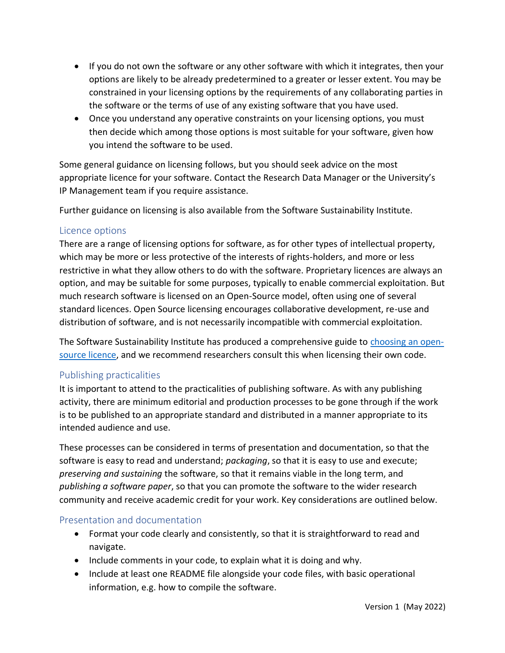- If you do not own the software or any other software with which it integrates, then your options are likely to be already predetermined to a greater or lesser extent. You may be constrained in your licensing options by the requirements of any collaborating parties in the software or the terms of use of any existing software that you have used.
- Once you understand any operative constraints on your licensing options, you must then decide which among those options is most suitable for your software, given how you intend the software to be used.

Some general guidance on licensing follows, but you should seek advice on the most appropriate licence for your software. Contact the Research Data Manager or the University's IP Management team if you require assistance.

Further guidance on licensing is also available from the Software Sustainability Institute.

## Licence options

There are a range of licensing options for software, as for other types of intellectual property, which may be more or less protective of the interests of rights-holders, and more or less restrictive in what they allow others to do with the software. Proprietary licences are always an option, and may be suitable for some purposes, typically to enable commercial exploitation. But much research software is licensed on an Open-Source model, often using one of several standard licences. Open Source licensing encourages collaborative development, re-use and distribution of software, and is not necessarily incompatible with commercial exploitation.

The Software Sustainability Institute has produced a comprehensive guide to [choosing an open](https://www.software.ac.uk/resources/guides/choosing-open-source-licence)[source licence,](https://www.software.ac.uk/resources/guides/choosing-open-source-licence) and we recommend researchers consult this when licensing their own code.

# Publishing practicalities

It is important to attend to the practicalities of publishing software. As with any publishing activity, there are minimum editorial and production processes to be gone through if the work is to be published to an appropriate standard and distributed in a manner appropriate to its intended audience and use.

These processes can be considered in terms of presentation and documentation, so that the software is easy to read and understand; *packaging*, so that it is easy to use and execute; *preserving and sustaining* the software, so that it remains viable in the long term, and *publishing a software paper*, so that you can promote the software to the wider research community and receive academic credit for your work. Key considerations are outlined below.

### Presentation and documentation

- Format your code clearly and consistently, so that it is straightforward to read and navigate.
- Include comments in your code, to explain what it is doing and why.
- Include at least one README file alongside your code files, with basic operational information, e.g. how to compile the software.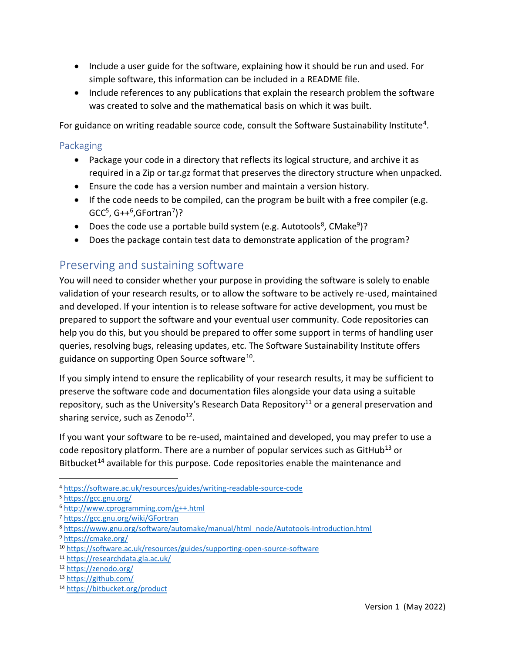- Include a user guide for the software, explaining how it should be run and used. For simple software, this information can be included in a README file.
- Include references to any publications that explain the research problem the software was created to solve and the mathematical basis on which it was built.

For guidance on writing readable source code, consult the Software Sustainability Institute<sup>4</sup>.

## Packaging

- Package your code in a directory that reflects its logical structure, and archive it as required in a Zip or tar.gz format that preserves the directory structure when unpacked.
- Ensure the code has a version number and maintain a version history.
- If the code needs to be compiled, can the program be built with a free compiler (e.g.  $GCC<sup>5</sup>, G++<sup>6</sup>, GFortran<sup>7</sup>)$ ?
- Does the code use a portable build system (e.g. Autotools<sup>8</sup>, CMake<sup>9</sup>)?
- Does the package contain test data to demonstrate application of the program?

# Preserving and sustaining software

You will need to consider whether your purpose in providing the software is solely to enable validation of your research results, or to allow the software to be actively re-used, maintained and developed. If your intention is to release software for active development, you must be prepared to support the software and your eventual user community. Code repositories can help you do this, but you should be prepared to offer some support in terms of handling user queries, resolving bugs, releasing updates, etc. The Software Sustainability Institute offers guidance on supporting Open Source software<sup>10</sup>.

If you simply intend to ensure the replicability of your research results, it may be sufficient to preserve the software code and documentation files alongside your data using a suitable repository, such as the University's Research Data Repository<sup>11</sup> or a general preservation and sharing service, such as Zenodo<sup>12</sup>.

If you want your software to be re-used, maintained and developed, you may prefer to use a code repository platform. There are a number of popular services such as  $G$ itHub<sup>13</sup> or Bitbucket<sup>14</sup> available for this purpose. Code repositories enable the maintenance and

<sup>4</sup> <https://software.ac.uk/resources/guides/writing-readable-source-code>

<sup>5</sup> <https://gcc.gnu.org/>

<sup>6</sup> <http://www.cprogramming.com/g++.html>

<sup>7</sup> <https://gcc.gnu.org/wiki/GFortran>

<sup>8</sup> [https://www.gnu.org/software/automake/manual/html\\_node/Autotools-Introduction.html](https://www.gnu.org/software/automake/manual/html_node/Autotools-Introduction.html)

<sup>9</sup> <https://cmake.org/>

<sup>10</sup> <https://software.ac.uk/resources/guides/supporting-open-source-software>

<sup>11</sup> <https://researchdata.gla.ac.uk/>

<sup>12</sup> <https://zenodo.org/>

<sup>13</sup> <https://github.com/>

<sup>14</sup> <https://bitbucket.org/product>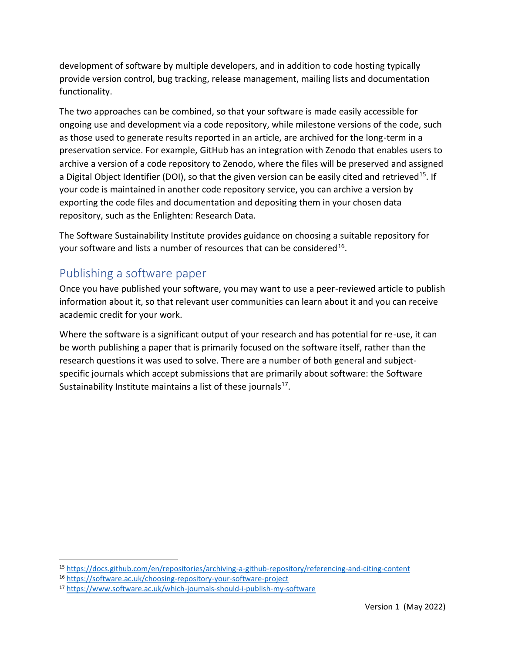development of software by multiple developers, and in addition to code hosting typically provide version control, bug tracking, release management, mailing lists and documentation functionality.

The two approaches can be combined, so that your software is made easily accessible for ongoing use and development via a code repository, while milestone versions of the code, such as those used to generate results reported in an article, are archived for the long-term in a preservation service. For example, GitHub has an integration with Zenodo that enables users to archive a version of a code repository to Zenodo, where the files will be preserved and assigned a Digital Object Identifier (DOI), so that the given version can be easily cited and retrieved<sup>15</sup>. If your code is maintained in another code repository service, you can archive a version by exporting the code files and documentation and depositing them in your chosen data repository, such as the Enlighten: Research Data.

The Software Sustainability Institute provides guidance on choosing a suitable repository for your software and lists a number of resources that can be considered<sup>16</sup>.

# Publishing a software paper

Once you have published your software, you may want to use a peer-reviewed article to publish information about it, so that relevant user communities can learn about it and you can receive academic credit for your work.

<span id="page-7-0"></span>Where the software is a significant output of your research and has potential for re-use, it can be worth publishing a paper that is primarily focused on the software itself, rather than the research questions it was used to solve. There are a number of both general and subjectspecific journals which accept submissions that are primarily about software: the Software Sustainability Institute maintains a list of these journals<sup>17</sup>.

<sup>15</sup> <https://docs.github.com/en/repositories/archiving-a-github-repository/referencing-and-citing-content>

<sup>16</sup> <https://software.ac.uk/choosing-repository-your-software-project>

<sup>17</sup> <https://www.software.ac.uk/which-journals-should-i-publish-my-software>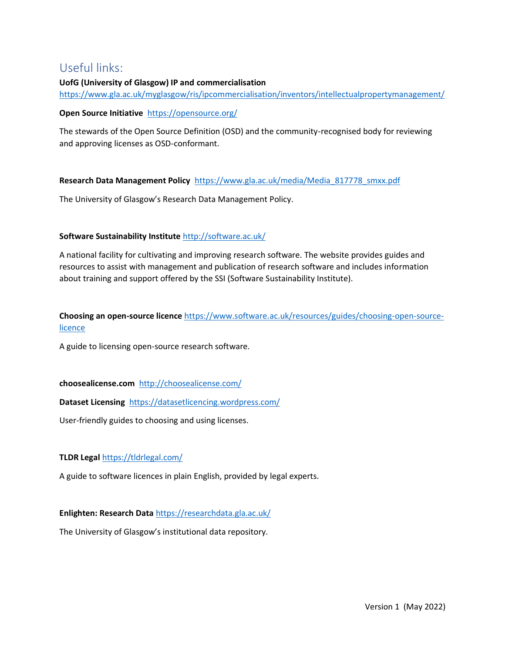# Useful links:

#### **UofG (University of Glasgow) IP and commercialisation** <https://www.gla.ac.uk/myglasgow/ris/ipcommercialisation/inventors/intellectualpropertymanagement/>

#### **Open Source Initiative** <https://opensource.org/>

The stewards of the Open Source Definition (OSD) and the community-recognised body for reviewing and approving licenses as OSD-conformant.

**Research Data Management Policy** [https://www.gla.ac.uk/media/Media\\_817778\\_smxx.pdf](https://www.gla.ac.uk/media/Media_817778_smxx.pdf)

The University of Glasgow's Research Data Management Policy.

#### **Software Sustainability Institute** <http://software.ac.uk/>

A national facility for cultivating and improving research software. The website provides guides and resources to assist with management and publication of research software and includes information about training and support offered by the SSI (Software Sustainability Institute).

### **Choosing an open-source licence** [https://www.software.ac.uk/resources/guides/choosing-open-source](https://www.software.ac.uk/resources/guides/choosing-open-source-licence)[licence](https://www.software.ac.uk/resources/guides/choosing-open-source-licence)

A guide to licensing open-source research software.

#### **choosealicense.com** <http://choosealicense.com/>

#### **Dataset Licensing**<https://datasetlicencing.wordpress.com/>

User-friendly guides to choosing and using licenses.

#### **TLDR Legal** <https://tldrlegal.com/>

A guide to software licences in plain English, provided by legal experts.

#### **Enlighten: Research Data** <https://researchdata.gla.ac.uk/>

<span id="page-8-0"></span>The University of Glasgow's institutional data repository.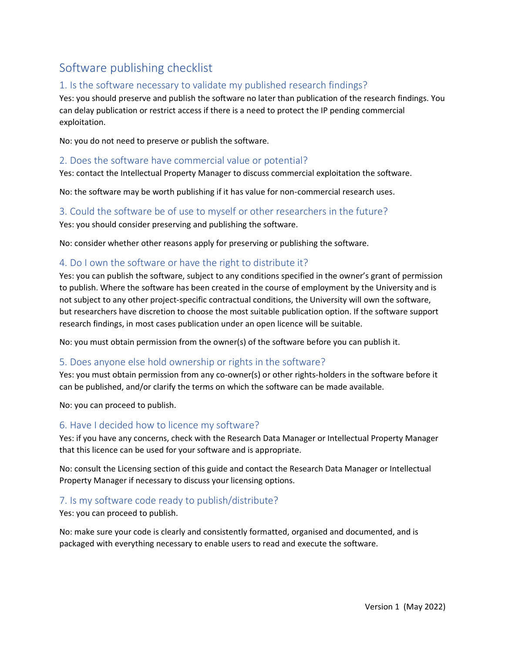# Software publishing checklist

# 1. Is the software necessary to validate my published research findings?

Yes: you should preserve and publish the software no later than publication of the research findings. You can delay publication or restrict access if there is a need to protect the IP pending commercial exploitation.

No: you do not need to preserve or publish the software.

#### 2. Does the software have commercial value or potential?

Yes: contact the Intellectual Property Manager to discuss commercial exploitation the software.

No: the software may be worth publishing if it has value for non-commercial research uses.

### 3. Could the software be of use to myself or other researchers in the future? Yes: you should consider preserving and publishing the software.

No: consider whether other reasons apply for preserving or publishing the software.

### 4. Do I own the software or have the right to distribute it?

Yes: you can publish the software, subject to any conditions specified in the owner's grant of permission to publish. Where the software has been created in the course of employment by the University and is not subject to any other project-specific contractual conditions, the University will own the software, but researchers have discretion to choose the most suitable publication option. If the software support research findings, in most cases publication under an open licence will be suitable.

No: you must obtain permission from the owner(s) of the software before you can publish it.

### 5. Does anyone else hold ownership or rights in the software?

Yes: you must obtain permission from any co-owner(s) or other rights-holders in the software before it can be published, and/or clarify the terms on which the software can be made available.

No: you can proceed to publish.

#### 6. Have I decided how to licence my software?

Yes: if you have any concerns, check with the Research Data Manager or Intellectual Property Manager that this licence can be used for your software and is appropriate.

No: consult the Licensing section of this guide and contact the Research Data Manager or Intellectual Property Manager if necessary to discuss your licensing options.

### 7. Is my software code ready to publish/distribute?

#### Yes: you can proceed to publish.

No: make sure your code is clearly and consistently formatted, organised and documented, and is packaged with everything necessary to enable users to read and execute the software.